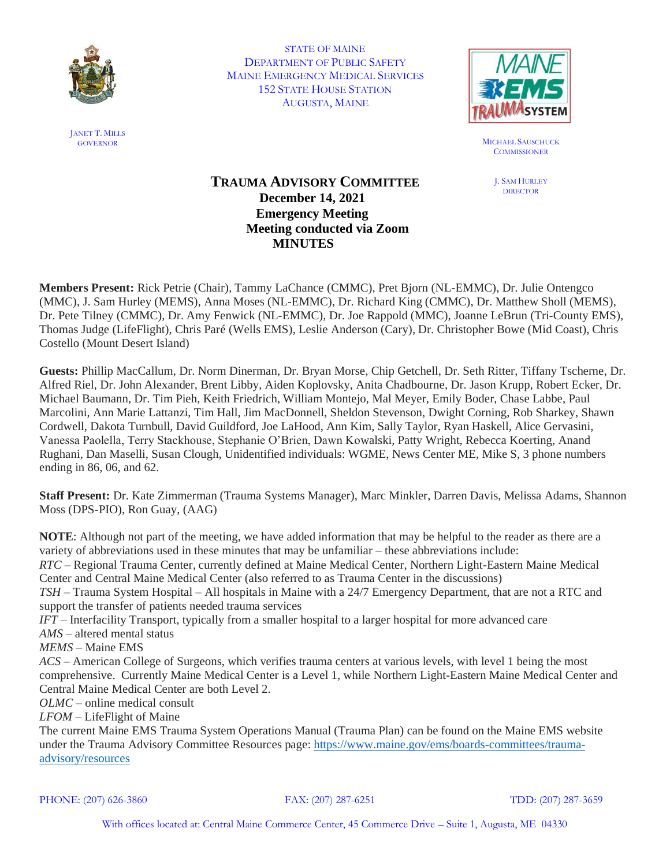

STATE OF MAINE DEPARTMENT OF PUBLIC SAFETY MAINE EMERGENCY MEDICAL SERVICES 152 STATE HOUSE STATION AUGUSTA, MAINE



GOVERNOR MICHAEL SAUSCHUCK **COMMISSIONER** 

> J. SAM HURLEY **DIRECTOR**

# **TRAUMA ADVISORY COMMITTEE December 14, 2021 Emergency Meeting Meeting conducted via Zoom MINUTES**

**Members Present:** Rick Petrie (Chair), Tammy LaChance (CMMC), Pret Bjorn (NL-EMMC), Dr. Julie Ontengco (MMC), J. Sam Hurley (MEMS), Anna Moses (NL-EMMC), Dr. Richard King (CMMC), Dr. Matthew Sholl (MEMS), Dr. Pete Tilney (CMMC), Dr. Amy Fenwick (NL-EMMC), Dr. Joe Rappold (MMC), Joanne LeBrun (Tri-County EMS), Thomas Judge (LifeFlight), Chris Paré (Wells EMS), Leslie Anderson (Cary), Dr. Christopher Bowe (Mid Coast), Chris Costello (Mount Desert Island)

**Guests:** Phillip MacCallum, Dr. Norm Dinerman, Dr. Bryan Morse, Chip Getchell, Dr. Seth Ritter, Tiffany Tscherne, Dr. Alfred Riel, Dr. John Alexander, Brent Libby, Aiden Koplovsky, Anita Chadbourne, Dr. Jason Krupp, Robert Ecker, Dr. Michael Baumann, Dr. Tim Pieh, Keith Friedrich, William Montejo, Mal Meyer, Emily Boder, Chase Labbe, Paul Marcolini, Ann Marie Lattanzi, Tim Hall, Jim MacDonnell, Sheldon Stevenson, Dwight Corning, Rob Sharkey, Shawn Cordwell, Dakota Turnbull, David Guildford, Joe LaHood, Ann Kim, Sally Taylor, Ryan Haskell, Alice Gervasini, Vanessa Paolella, Terry Stackhouse, Stephanie O'Brien, Dawn Kowalski, Patty Wright, Rebecca Koerting, Anand Rughani, Dan Maselli, Susan Clough, Unidentified individuals: WGME, News Center ME, Mike S, 3 phone numbers ending in 86, 06, and 62.

**Staff Present:** Dr. Kate Zimmerman (Trauma Systems Manager), Marc Minkler, Darren Davis, Melissa Adams, Shannon Moss (DPS-PIO), Ron Guay, (AAG)

**NOTE**: Although not part of the meeting, we have added information that may be helpful to the reader as there are a variety of abbreviations used in these minutes that may be unfamiliar – these abbreviations include: *RTC* – Regional Trauma Center, currently defined at Maine Medical Center, Northern Light-Eastern Maine Medical Center and Central Maine Medical Center (also referred to as Trauma Center in the discussions) *TSH* – Trauma System Hospital – All hospitals in Maine with a 24/7 Emergency Department, that are not a RTC and support the transfer of patients needed trauma services *IFT* – Interfacility Transport, typically from a smaller hospital to a larger hospital for more advanced care *AMS* – altered mental status *MEMS* – Maine EMS *ACS* – American College of Surgeons, which verifies trauma centers at various levels, with level 1 being the most comprehensive. Currently Maine Medical Center is a Level 1, while Northern Light-Eastern Maine Medical Center and Central Maine Medical Center are both Level 2. *OLMC* – online medical consult *LFOM* – LifeFlight of Maine The current Maine EMS Trauma System Operations Manual (Trauma Plan) can be found on the Maine EMS website under the Trauma Advisory Committee Resources page: [https://www.maine.gov/ems/boards-committees/trauma-](https://www.maine.gov/ems/boards-committees/trauma-advisory/resources)

[advisory/resources](https://www.maine.gov/ems/boards-committees/trauma-advisory/resources)

PHONE: (207) 626-3860 FAX: (207) 287-6251 TDD: (207) 287-3659

JANET T. MILLS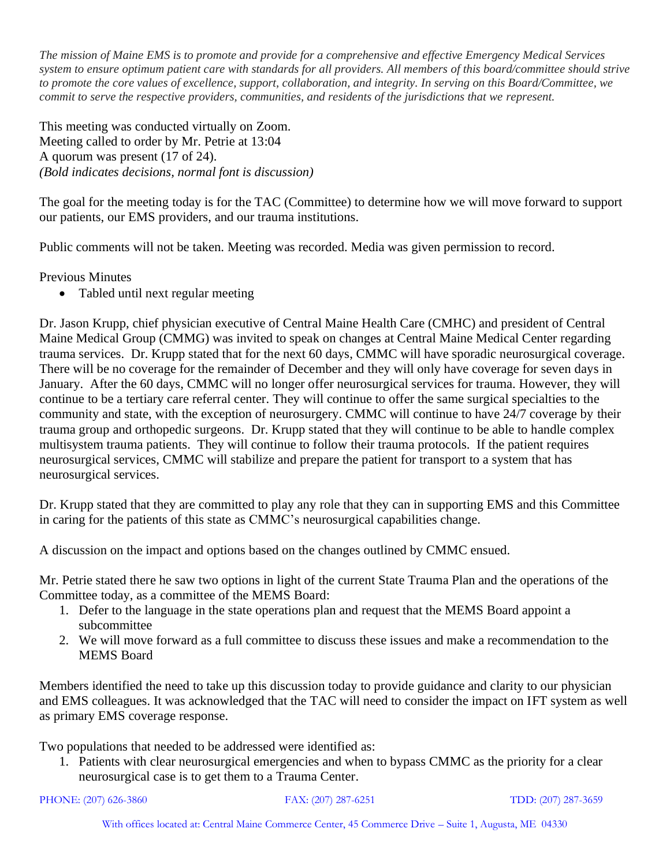*The mission of Maine EMS is to promote and provide for a comprehensive and effective Emergency Medical Services system to ensure optimum patient care with standards for all providers. All members of this board/committee should strive to promote the core values of excellence, support, collaboration, and integrity. In serving on this Board/Committee, we commit to serve the respective providers, communities, and residents of the jurisdictions that we represent.*

This meeting was conducted virtually on Zoom. Meeting called to order by Mr. Petrie at 13:04 A quorum was present (17 of 24). *(Bold indicates decisions, normal font is discussion)*

The goal for the meeting today is for the TAC (Committee) to determine how we will move forward to support our patients, our EMS providers, and our trauma institutions.

Public comments will not be taken. Meeting was recorded. Media was given permission to record.

Previous Minutes

• Tabled until next regular meeting

Dr. Jason Krupp, chief physician executive of Central Maine Health Care (CMHC) and president of Central Maine Medical Group (CMMG) was invited to speak on changes at Central Maine Medical Center regarding trauma services. Dr. Krupp stated that for the next 60 days, CMMC will have sporadic neurosurgical coverage. There will be no coverage for the remainder of December and they will only have coverage for seven days in January. After the 60 days, CMMC will no longer offer neurosurgical services for trauma. However, they will continue to be a tertiary care referral center. They will continue to offer the same surgical specialties to the community and state, with the exception of neurosurgery. CMMC will continue to have 24/7 coverage by their trauma group and orthopedic surgeons. Dr. Krupp stated that they will continue to be able to handle complex multisystem trauma patients. They will continue to follow their trauma protocols. If the patient requires neurosurgical services, CMMC will stabilize and prepare the patient for transport to a system that has neurosurgical services.

Dr. Krupp stated that they are committed to play any role that they can in supporting EMS and this Committee in caring for the patients of this state as CMMC's neurosurgical capabilities change.

A discussion on the impact and options based on the changes outlined by CMMC ensued.

Mr. Petrie stated there he saw two options in light of the current State Trauma Plan and the operations of the Committee today, as a committee of the MEMS Board:

- 1. Defer to the language in the state operations plan and request that the MEMS Board appoint a subcommittee
- 2. We will move forward as a full committee to discuss these issues and make a recommendation to the MEMS Board

Members identified the need to take up this discussion today to provide guidance and clarity to our physician and EMS colleagues. It was acknowledged that the TAC will need to consider the impact on IFT system as well as primary EMS coverage response.

Two populations that needed to be addressed were identified as:

1. Patients with clear neurosurgical emergencies and when to bypass CMMC as the priority for a clear neurosurgical case is to get them to a Trauma Center.

```
PHONE: (207) 626-3860 FAX: (207) 287-6251 TDD: (207) 287-3659
```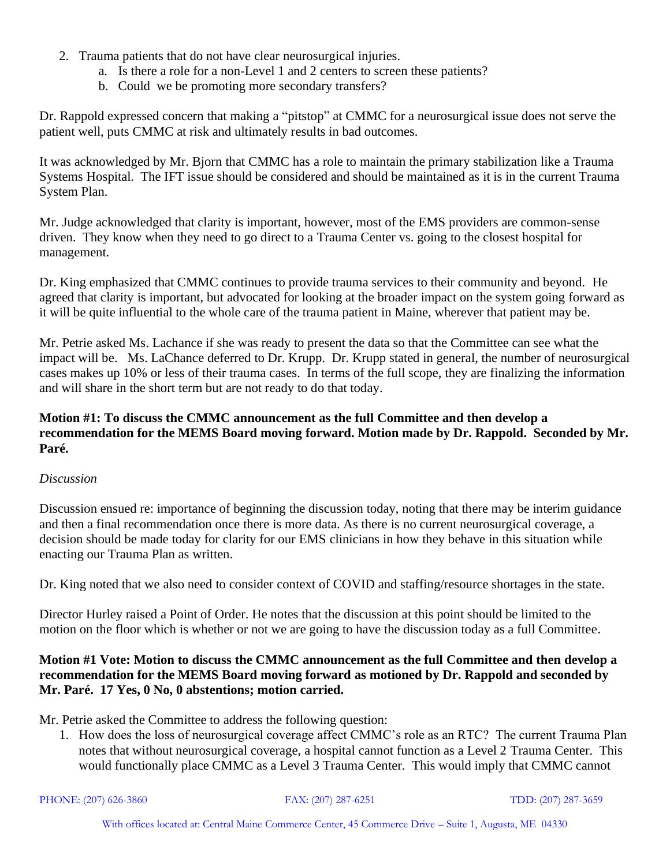- 2. Trauma patients that do not have clear neurosurgical injuries.
	- a. Is there a role for a non-Level 1 and 2 centers to screen these patients?
	- b. Could we be promoting more secondary transfers?

Dr. Rappold expressed concern that making a "pitstop" at CMMC for a neurosurgical issue does not serve the patient well, puts CMMC at risk and ultimately results in bad outcomes.

It was acknowledged by Mr. Bjorn that CMMC has a role to maintain the primary stabilization like a Trauma Systems Hospital. The IFT issue should be considered and should be maintained as it is in the current Trauma System Plan.

Mr. Judge acknowledged that clarity is important, however, most of the EMS providers are common-sense driven. They know when they need to go direct to a Trauma Center vs. going to the closest hospital for management.

Dr. King emphasized that CMMC continues to provide trauma services to their community and beyond. He agreed that clarity is important, but advocated for looking at the broader impact on the system going forward as it will be quite influential to the whole care of the trauma patient in Maine, wherever that patient may be.

Mr. Petrie asked Ms. Lachance if she was ready to present the data so that the Committee can see what the impact will be. Ms. LaChance deferred to Dr. Krupp. Dr. Krupp stated in general, the number of neurosurgical cases makes up 10% or less of their trauma cases. In terms of the full scope, they are finalizing the information and will share in the short term but are not ready to do that today.

# **Motion #1: To discuss the CMMC announcement as the full Committee and then develop a recommendation for the MEMS Board moving forward. Motion made by Dr. Rappold. Seconded by Mr. Paré.**

# *Discussion*

Discussion ensued re: importance of beginning the discussion today, noting that there may be interim guidance and then a final recommendation once there is more data. As there is no current neurosurgical coverage, a decision should be made today for clarity for our EMS clinicians in how they behave in this situation while enacting our Trauma Plan as written.

Dr. King noted that we also need to consider context of COVID and staffing/resource shortages in the state.

Director Hurley raised a Point of Order. He notes that the discussion at this point should be limited to the motion on the floor which is whether or not we are going to have the discussion today as a full Committee.

#### **Motion #1 Vote: Motion to discuss the CMMC announcement as the full Committee and then develop a recommendation for the MEMS Board moving forward as motioned by Dr. Rappold and seconded by Mr. Paré. 17 Yes, 0 No, 0 abstentions; motion carried.**

Mr. Petrie asked the Committee to address the following question:

1. How does the loss of neurosurgical coverage affect CMMC's role as an RTC? The current Trauma Plan notes that without neurosurgical coverage, a hospital cannot function as a Level 2 Trauma Center. This would functionally place CMMC as a Level 3 Trauma Center. This would imply that CMMC cannot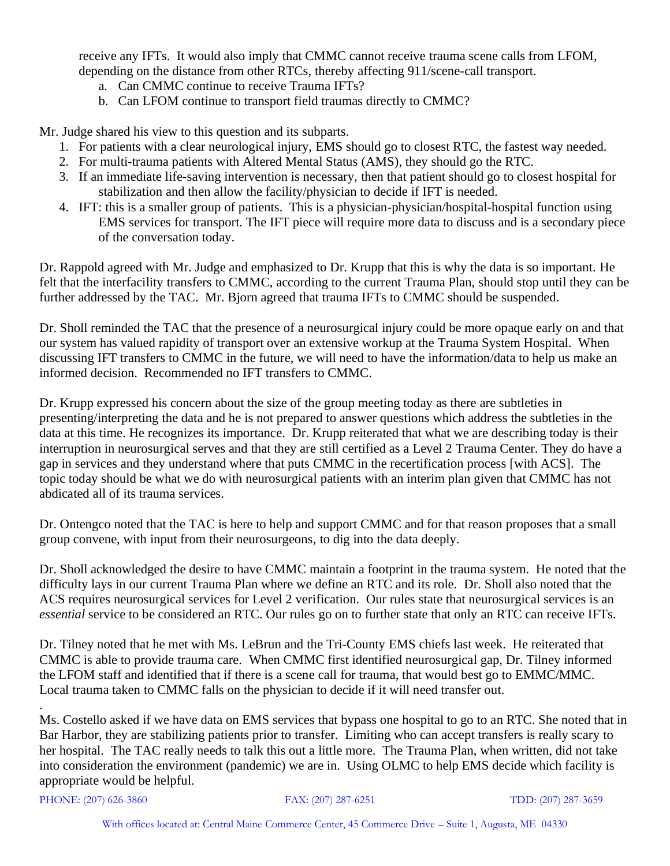receive any IFTs. It would also imply that CMMC cannot receive trauma scene calls from LFOM, depending on the distance from other RTCs, thereby affecting 911/scene-call transport.

- a. Can CMMC continue to receive Trauma IFTs?
- b. Can LFOM continue to transport field traumas directly to CMMC?

Mr. Judge shared his view to this question and its subparts.

- 1. For patients with a clear neurological injury, EMS should go to closest RTC, the fastest way needed.
- 2. For multi-trauma patients with Altered Mental Status (AMS), they should go the RTC.
- 3. If an immediate life-saving intervention is necessary, then that patient should go to closest hospital for stabilization and then allow the facility/physician to decide if IFT is needed.
- 4. IFT: this is a smaller group of patients. This is a physician-physician/hospital-hospital function using EMS services for transport. The IFT piece will require more data to discuss and is a secondary piece of the conversation today.

Dr. Rappold agreed with Mr. Judge and emphasized to Dr. Krupp that this is why the data is so important. He felt that the interfacility transfers to CMMC, according to the current Trauma Plan, should stop until they can be further addressed by the TAC. Mr. Bjorn agreed that trauma IFTs to CMMC should be suspended.

Dr. Sholl reminded the TAC that the presence of a neurosurgical injury could be more opaque early on and that our system has valued rapidity of transport over an extensive workup at the Trauma System Hospital. When discussing IFT transfers to CMMC in the future, we will need to have the information/data to help us make an informed decision. Recommended no IFT transfers to CMMC.

Dr. Krupp expressed his concern about the size of the group meeting today as there are subtleties in presenting/interpreting the data and he is not prepared to answer questions which address the subtleties in the data at this time. He recognizes its importance. Dr. Krupp reiterated that what we are describing today is their interruption in neurosurgical serves and that they are still certified as a Level 2 Trauma Center. They do have a gap in services and they understand where that puts CMMC in the recertification process [with ACS]. The topic today should be what we do with neurosurgical patients with an interim plan given that CMMC has not abdicated all of its trauma services.

Dr. Ontengco noted that the TAC is here to help and support CMMC and for that reason proposes that a small group convene, with input from their neurosurgeons, to dig into the data deeply.

Dr. Sholl acknowledged the desire to have CMMC maintain a footprint in the trauma system. He noted that the difficulty lays in our current Trauma Plan where we define an RTC and its role. Dr. Sholl also noted that the ACS requires neurosurgical services for Level 2 verification. Our rules state that neurosurgical services is an *essential* service to be considered an RTC. Our rules go on to further state that only an RTC can receive IFTs.

Dr. Tilney noted that he met with Ms. LeBrun and the Tri-County EMS chiefs last week. He reiterated that CMMC is able to provide trauma care. When CMMC first identified neurosurgical gap, Dr. Tilney informed the LFOM staff and identified that if there is a scene call for trauma, that would best go to EMMC/MMC. Local trauma taken to CMMC falls on the physician to decide if it will need transfer out.

Ms. Costello asked if we have data on EMS services that bypass one hospital to go to an RTC. She noted that in Bar Harbor, they are stabilizing patients prior to transfer. Limiting who can accept transfers is really scary to her hospital. The TAC really needs to talk this out a little more. The Trauma Plan, when written, did not take into consideration the environment (pandemic) we are in. Using OLMC to help EMS decide which facility is appropriate would be helpful.

PHONE: (207) 626-3860 FAX: (207) 287-6251 TDD: (207) 287-3659

.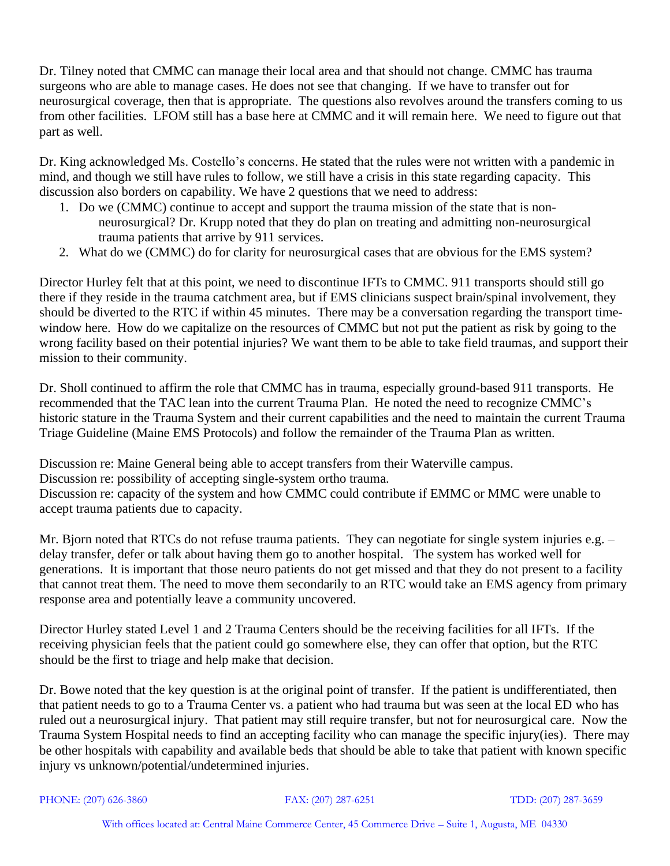Dr. Tilney noted that CMMC can manage their local area and that should not change. CMMC has trauma surgeons who are able to manage cases. He does not see that changing. If we have to transfer out for neurosurgical coverage, then that is appropriate. The questions also revolves around the transfers coming to us from other facilities. LFOM still has a base here at CMMC and it will remain here. We need to figure out that part as well.

Dr. King acknowledged Ms. Costello's concerns. He stated that the rules were not written with a pandemic in mind, and though we still have rules to follow, we still have a crisis in this state regarding capacity. This discussion also borders on capability. We have 2 questions that we need to address:

- 1. Do we (CMMC) continue to accept and support the trauma mission of the state that is nonneurosurgical? Dr. Krupp noted that they do plan on treating and admitting non-neurosurgical trauma patients that arrive by 911 services.
- 2. What do we (CMMC) do for clarity for neurosurgical cases that are obvious for the EMS system?

Director Hurley felt that at this point, we need to discontinue IFTs to CMMC. 911 transports should still go there if they reside in the trauma catchment area, but if EMS clinicians suspect brain/spinal involvement, they should be diverted to the RTC if within 45 minutes. There may be a conversation regarding the transport timewindow here. How do we capitalize on the resources of CMMC but not put the patient as risk by going to the wrong facility based on their potential injuries? We want them to be able to take field traumas, and support their mission to their community.

Dr. Sholl continued to affirm the role that CMMC has in trauma, especially ground-based 911 transports. He recommended that the TAC lean into the current Trauma Plan. He noted the need to recognize CMMC's historic stature in the Trauma System and their current capabilities and the need to maintain the current Trauma Triage Guideline (Maine EMS Protocols) and follow the remainder of the Trauma Plan as written.

Discussion re: Maine General being able to accept transfers from their Waterville campus. Discussion re: possibility of accepting single-system ortho trauma. Discussion re: capacity of the system and how CMMC could contribute if EMMC or MMC were unable to accept trauma patients due to capacity.

Mr. Bjorn noted that RTCs do not refuse trauma patients. They can negotiate for single system injuries e.g. – delay transfer, defer or talk about having them go to another hospital. The system has worked well for generations. It is important that those neuro patients do not get missed and that they do not present to a facility that cannot treat them. The need to move them secondarily to an RTC would take an EMS agency from primary response area and potentially leave a community uncovered.

Director Hurley stated Level 1 and 2 Trauma Centers should be the receiving facilities for all IFTs. If the receiving physician feels that the patient could go somewhere else, they can offer that option, but the RTC should be the first to triage and help make that decision.

Dr. Bowe noted that the key question is at the original point of transfer. If the patient is undifferentiated, then that patient needs to go to a Trauma Center vs. a patient who had trauma but was seen at the local ED who has ruled out a neurosurgical injury. That patient may still require transfer, but not for neurosurgical care. Now the Trauma System Hospital needs to find an accepting facility who can manage the specific injury(ies). There may be other hospitals with capability and available beds that should be able to take that patient with known specific injury vs unknown/potential/undetermined injuries.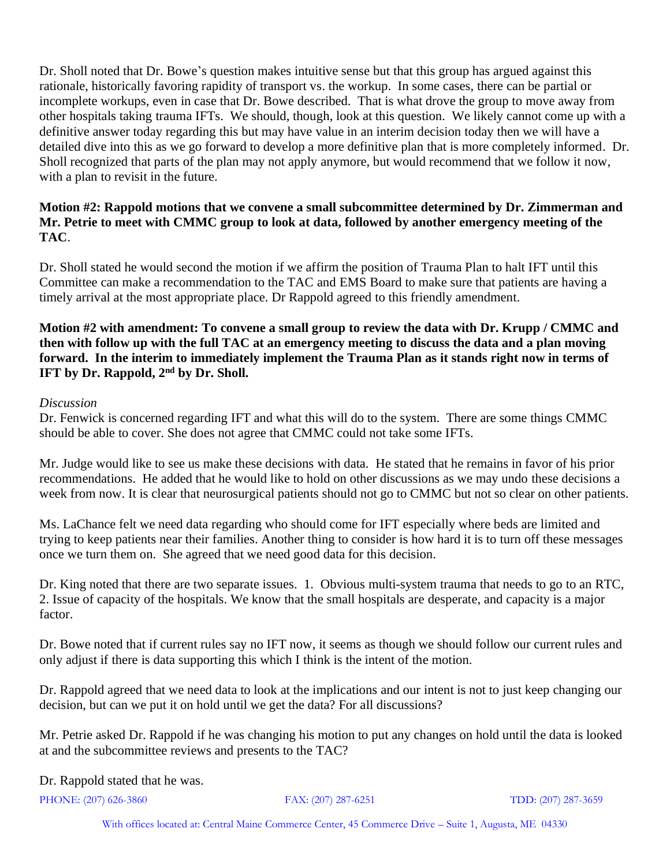Dr. Sholl noted that Dr. Bowe's question makes intuitive sense but that this group has argued against this rationale, historically favoring rapidity of transport vs. the workup. In some cases, there can be partial or incomplete workups, even in case that Dr. Bowe described. That is what drove the group to move away from other hospitals taking trauma IFTs. We should, though, look at this question. We likely cannot come up with a definitive answer today regarding this but may have value in an interim decision today then we will have a detailed dive into this as we go forward to develop a more definitive plan that is more completely informed. Dr. Sholl recognized that parts of the plan may not apply anymore, but would recommend that we follow it now, with a plan to revisit in the future.

#### **Motion #2: Rappold motions that we convene a small subcommittee determined by Dr. Zimmerman and Mr. Petrie to meet with CMMC group to look at data, followed by another emergency meeting of the TAC**.

Dr. Sholl stated he would second the motion if we affirm the position of Trauma Plan to halt IFT until this Committee can make a recommendation to the TAC and EMS Board to make sure that patients are having a timely arrival at the most appropriate place. Dr Rappold agreed to this friendly amendment.

# **Motion #2 with amendment: To convene a small group to review the data with Dr. Krupp / CMMC and then with follow up with the full TAC at an emergency meeting to discuss the data and a plan moving forward. In the interim to immediately implement the Trauma Plan as it stands right now in terms of IFT by Dr. Rappold, 2nd by Dr. Sholl.**

# *Discussion*

Dr. Fenwick is concerned regarding IFT and what this will do to the system. There are some things CMMC should be able to cover. She does not agree that CMMC could not take some IFTs.

Mr. Judge would like to see us make these decisions with data. He stated that he remains in favor of his prior recommendations. He added that he would like to hold on other discussions as we may undo these decisions a week from now. It is clear that neurosurgical patients should not go to CMMC but not so clear on other patients.

Ms. LaChance felt we need data regarding who should come for IFT especially where beds are limited and trying to keep patients near their families. Another thing to consider is how hard it is to turn off these messages once we turn them on. She agreed that we need good data for this decision.

Dr. King noted that there are two separate issues. 1. Obvious multi-system trauma that needs to go to an RTC, 2. Issue of capacity of the hospitals. We know that the small hospitals are desperate, and capacity is a major factor.

Dr. Bowe noted that if current rules say no IFT now, it seems as though we should follow our current rules and only adjust if there is data supporting this which I think is the intent of the motion.

Dr. Rappold agreed that we need data to look at the implications and our intent is not to just keep changing our decision, but can we put it on hold until we get the data? For all discussions?

Mr. Petrie asked Dr. Rappold if he was changing his motion to put any changes on hold until the data is looked at and the subcommittee reviews and presents to the TAC?

Dr. Rappold stated that he was.

PHONE: (207) 626-3860 FAX: (207) 287-6251 TDD: (207) 287-3659

With offices located at: Central Maine Commerce Center, 45 Commerce Drive – Suite 1, Augusta, ME 04330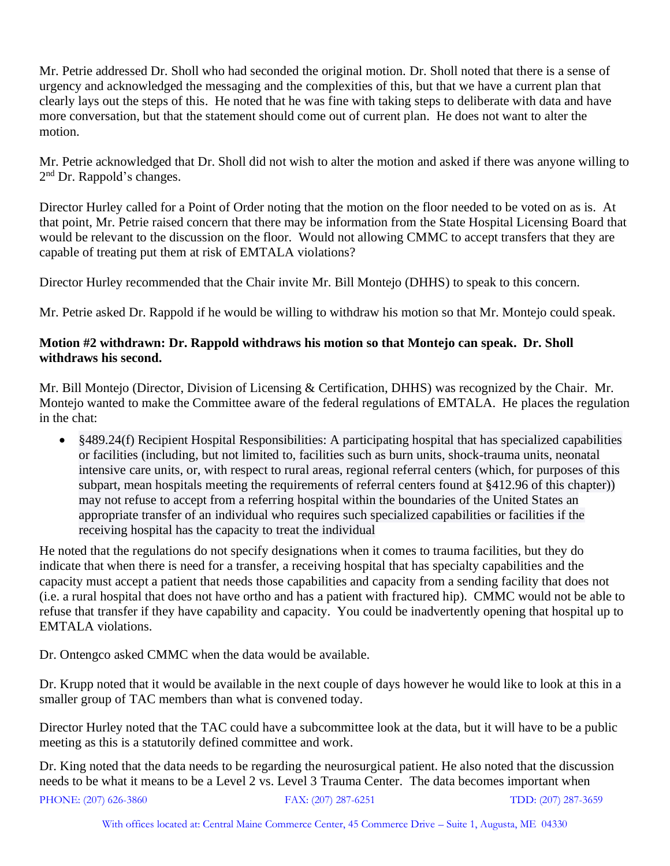Mr. Petrie addressed Dr. Sholl who had seconded the original motion. Dr. Sholl noted that there is a sense of urgency and acknowledged the messaging and the complexities of this, but that we have a current plan that clearly lays out the steps of this. He noted that he was fine with taking steps to deliberate with data and have more conversation, but that the statement should come out of current plan. He does not want to alter the motion.

Mr. Petrie acknowledged that Dr. Sholl did not wish to alter the motion and asked if there was anyone willing to 2<sup>nd</sup> Dr. Rappold's changes.

Director Hurley called for a Point of Order noting that the motion on the floor needed to be voted on as is. At that point, Mr. Petrie raised concern that there may be information from the State Hospital Licensing Board that would be relevant to the discussion on the floor. Would not allowing CMMC to accept transfers that they are capable of treating put them at risk of EMTALA violations?

Director Hurley recommended that the Chair invite Mr. Bill Montejo (DHHS) to speak to this concern.

Mr. Petrie asked Dr. Rappold if he would be willing to withdraw his motion so that Mr. Montejo could speak.

# **Motion #2 withdrawn: Dr. Rappold withdraws his motion so that Montejo can speak. Dr. Sholl withdraws his second.**

Mr. Bill Montejo (Director, Division of Licensing & Certification, DHHS) was recognized by the Chair. Mr. Montejo wanted to make the Committee aware of the federal regulations of EMTALA. He places the regulation in the chat:

• §489.24(f) Recipient Hospital Responsibilities: A participating hospital that has specialized capabilities or facilities (including, but not limited to, facilities such as burn units, shock-trauma units, neonatal intensive care units, or, with respect to rural areas, regional referral centers (which, for purposes of this subpart, mean hospitals meeting the requirements of referral centers found at §412.96 of this chapter)) may not refuse to accept from a referring hospital within the boundaries of the United States an appropriate transfer of an individual who requires such specialized capabilities or facilities if the receiving hospital has the capacity to treat the individual

He noted that the regulations do not specify designations when it comes to trauma facilities, but they do indicate that when there is need for a transfer, a receiving hospital that has specialty capabilities and the capacity must accept a patient that needs those capabilities and capacity from a sending facility that does not (i.e. a rural hospital that does not have ortho and has a patient with fractured hip). CMMC would not be able to refuse that transfer if they have capability and capacity. You could be inadvertently opening that hospital up to EMTALA violations.

Dr. Ontengco asked CMMC when the data would be available.

Dr. Krupp noted that it would be available in the next couple of days however he would like to look at this in a smaller group of TAC members than what is convened today.

Director Hurley noted that the TAC could have a subcommittee look at the data, but it will have to be a public meeting as this is a statutorily defined committee and work.

PHONE: (207) 626-3860 FAX: (207) 287-6251 TDD: (207) 287-3659 Dr. King noted that the data needs to be regarding the neurosurgical patient. He also noted that the discussion needs to be what it means to be a Level 2 vs. Level 3 Trauma Center. The data becomes important when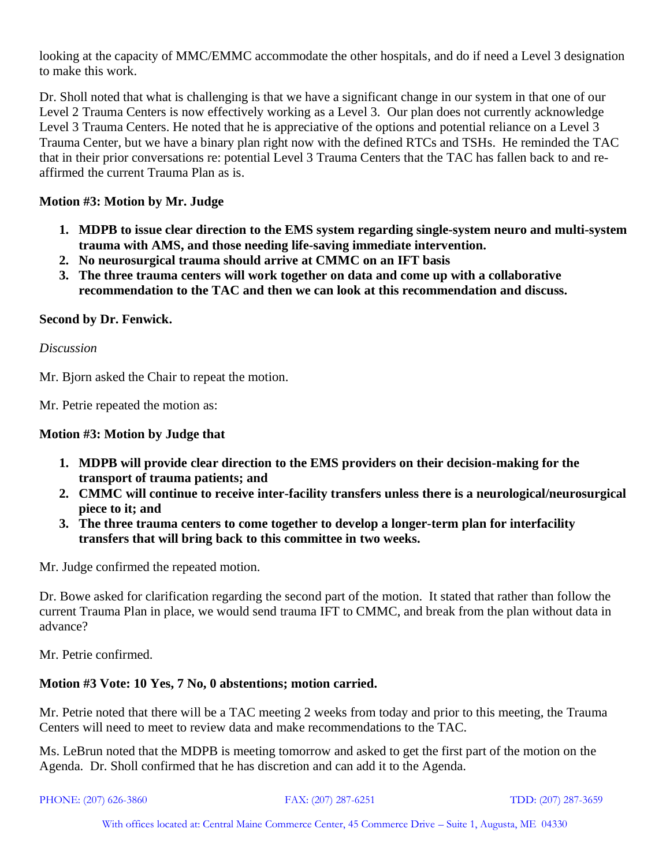looking at the capacity of MMC/EMMC accommodate the other hospitals, and do if need a Level 3 designation to make this work.

Dr. Sholl noted that what is challenging is that we have a significant change in our system in that one of our Level 2 Trauma Centers is now effectively working as a Level 3. Our plan does not currently acknowledge Level 3 Trauma Centers. He noted that he is appreciative of the options and potential reliance on a Level 3 Trauma Center, but we have a binary plan right now with the defined RTCs and TSHs. He reminded the TAC that in their prior conversations re: potential Level 3 Trauma Centers that the TAC has fallen back to and reaffirmed the current Trauma Plan as is.

# **Motion #3: Motion by Mr. Judge**

- **1. MDPB to issue clear direction to the EMS system regarding single-system neuro and multi-system trauma with AMS, and those needing life-saving immediate intervention.**
- **2. No neurosurgical trauma should arrive at CMMC on an IFT basis**
- **3. The three trauma centers will work together on data and come up with a collaborative recommendation to the TAC and then we can look at this recommendation and discuss.**

# **Second by Dr. Fenwick.**

*Discussion*

Mr. Bjorn asked the Chair to repeat the motion.

Mr. Petrie repeated the motion as:

# **Motion #3: Motion by Judge that**

- **1. MDPB will provide clear direction to the EMS providers on their decision-making for the transport of trauma patients; and**
- **2. CMMC will continue to receive inter-facility transfers unless there is a neurological/neurosurgical piece to it; and**
- **3. The three trauma centers to come together to develop a longer-term plan for interfacility transfers that will bring back to this committee in two weeks.**

Mr. Judge confirmed the repeated motion.

Dr. Bowe asked for clarification regarding the second part of the motion. It stated that rather than follow the current Trauma Plan in place, we would send trauma IFT to CMMC, and break from the plan without data in advance?

Mr. Petrie confirmed.

# **Motion #3 Vote: 10 Yes, 7 No, 0 abstentions; motion carried.**

Mr. Petrie noted that there will be a TAC meeting 2 weeks from today and prior to this meeting, the Trauma Centers will need to meet to review data and make recommendations to the TAC.

Ms. LeBrun noted that the MDPB is meeting tomorrow and asked to get the first part of the motion on the Agenda. Dr. Sholl confirmed that he has discretion and can add it to the Agenda.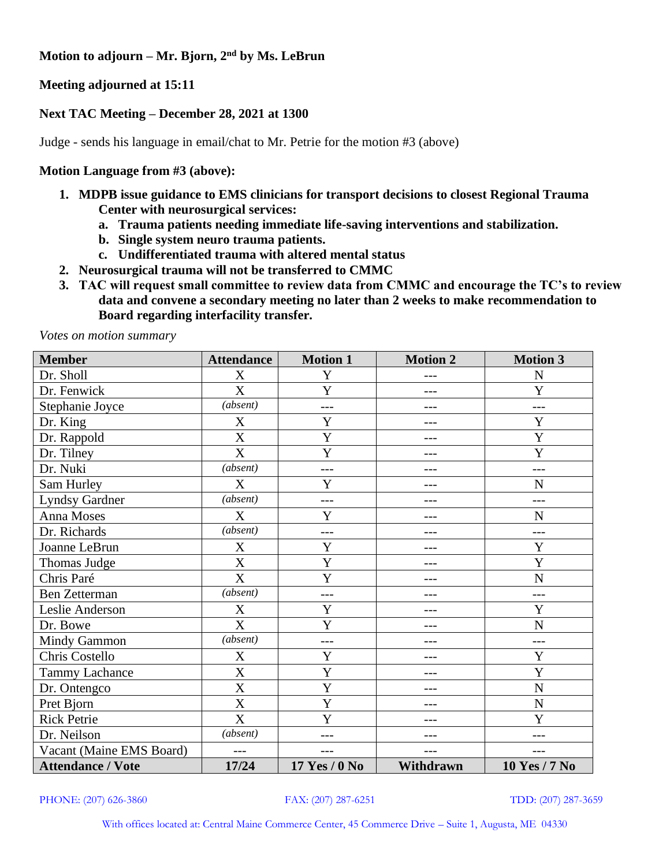**Motion to adjourn – Mr. Bjorn, 2nd by Ms. LeBrun**

**Meeting adjourned at 15:11**

# **Next TAC Meeting – December 28, 2021 at 1300**

Judge - sends his language in email/chat to Mr. Petrie for the motion #3 (above)

#### **Motion Language from #3 (above):**

- **1. MDPB issue guidance to EMS clinicians for transport decisions to closest Regional Trauma Center with neurosurgical services:** 
	- **a. Trauma patients needing immediate life-saving interventions and stabilization.**
	- **b. Single system neuro trauma patients.**
	- **c. Undifferentiated trauma with altered mental status**
- **2. Neurosurgical trauma will not be transferred to CMMC**
- **3. TAC will request small committee to review data from CMMC and encourage the TC's to review data and convene a secondary meeting no later than 2 weeks to make recommendation to Board regarding interfacility transfer.**

*Votes on motion summary*

| <b>Member</b>            | <b>Attendance</b>         | <b>Motion 1</b> | <b>Motion 2</b> | <b>Motion 3</b>      |
|--------------------------|---------------------------|-----------------|-----------------|----------------------|
| Dr. Sholl                | X                         | Y               | $- - -$         | N                    |
| Dr. Fenwick              | X                         | Y               |                 | Y                    |
| Stephanie Joyce          | (absent)                  | $---$           | $- - -$         | $---$                |
| Dr. King                 | X                         | Y               | $- - -$         | Y                    |
| Dr. Rappold              | X                         | Y               | ---             | Y                    |
| Dr. Tilney               | X                         | Y               | ---             | Y                    |
| Dr. Nuki                 | (absent)                  |                 |                 |                      |
| Sam Hurley               | X                         | Y               |                 | N                    |
| <b>Lyndsy Gardner</b>    | (absent)                  | $---$           | ---             | ---                  |
| Anna Moses               | X                         | Y               |                 | $\mathbf N$          |
| Dr. Richards             | (absent)                  | ---             |                 | ---                  |
| Joanne LeBrun            | X                         | Y               |                 | Y                    |
| Thomas Judge             | X                         | Y               |                 | Y                    |
| Chris Paré               | $\boldsymbol{\mathrm{X}}$ | Y               | ---             | $\mathbf N$          |
| <b>Ben Zetterman</b>     | (absent)                  | $---$           | $- - -$         | $---$                |
| Leslie Anderson          | $\mathbf X$               | Y               |                 | Y                    |
| Dr. Bowe                 | X                         | Y               | ---             | $\mathbf N$          |
| <b>Mindy Gammon</b>      | (absent)                  | $---$           | ---             | $---$                |
| Chris Costello           | X                         | Y               | ---             | Y                    |
| <b>Tammy Lachance</b>    | X                         | Y               |                 | Y                    |
| Dr. Ontengco             | X                         | Y               |                 | $\mathbf N$          |
| Pret Bjorn               | X                         | Y               | ---             | $\mathbf N$          |
| <b>Rick Petrie</b>       | X                         | Y               | ---             | Y                    |
| Dr. Neilson              | (absent)                  |                 |                 | ---                  |
| Vacant (Maine EMS Board) |                           |                 | ---             |                      |
| <b>Attendance / Vote</b> | 17/24                     | 17 Yes / 0 No   | Withdrawn       | <b>10 Yes / 7 No</b> |

PHONE: (207) 626-3860 FAX: (207) 287-6251 TDD: (207) 287-3659

With offices located at: Central Maine Commerce Center, 45 Commerce Drive – Suite 1, Augusta, ME 04330